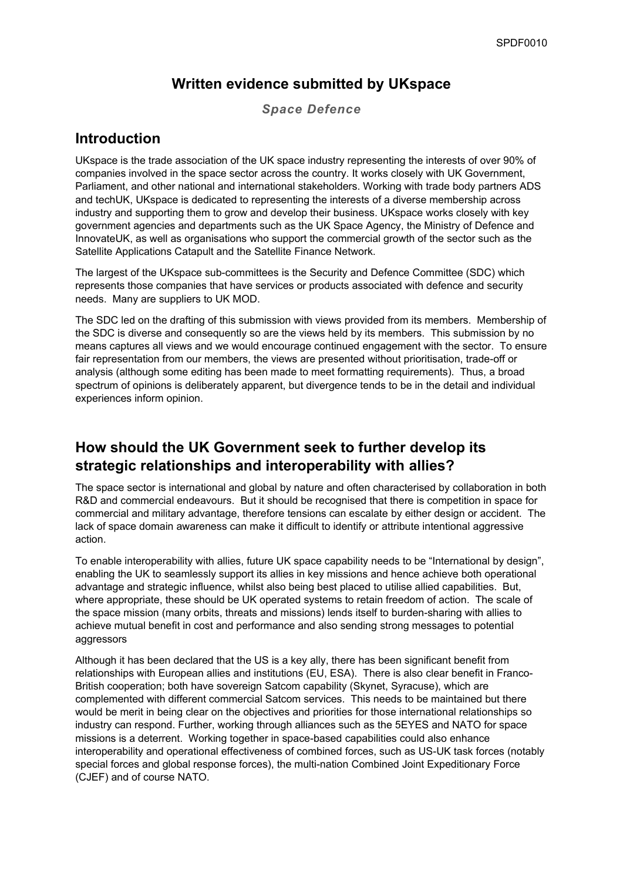### **Written evidence submitted by UKspace**

*Space Defence*

### **Introduction**

UKspace is the trade association of the UK space industry representing the interests of over 90% of companies involved in the space sector across the country. It works closely with UK Government, Parliament, and other national and international stakeholders. Working with trade body partners ADS and techUK, UKspace is dedicated to representing the interests of a diverse membership across industry and supporting them to grow and develop their business. UKspace works closely with key government agencies and departments such as the UK Space Agency, the Ministry of Defence and InnovateUK, as well as organisations who support the commercial growth of the sector such as the Satellite Applications Catapult and the Satellite Finance Network.

The largest of the UKspace sub-committees is the Security and Defence Committee (SDC) which represents those companies that have services or products associated with defence and security needs. Many are suppliers to UK MOD.

The SDC led on the drafting of this submission with views provided from its members. Membership of the SDC is diverse and consequently so are the views held by its members. This submission by no means captures all views and we would encourage continued engagement with the sector. To ensure fair representation from our members, the views are presented without prioritisation, trade-off or analysis (although some editing has been made to meet formatting requirements). Thus, a broad spectrum of opinions is deliberately apparent, but divergence tends to be in the detail and individual experiences inform opinion.

### **How should the UK Government seek to further develop its strategic relationships and interoperability with allies?**

The space sector is international and global by nature and often characterised by collaboration in both R&D and commercial endeavours. But it should be recognised that there is competition in space for commercial and military advantage, therefore tensions can escalate by either design or accident. The lack of space domain awareness can make it difficult to identify or attribute intentional aggressive action.

To enable interoperability with allies, future UK space capability needs to be "International by design", enabling the UK to seamlessly support its allies in key missions and hence achieve both operational advantage and strategic influence, whilst also being best placed to utilise allied capabilities. But, where appropriate, these should be UK operated systems to retain freedom of action. The scale of the space mission (many orbits, threats and missions) lends itself to burden-sharing with allies to achieve mutual benefit in cost and performance and also sending strong messages to potential aggressors

Although it has been declared that the US is a key ally, there has been significant benefit from relationships with European allies and institutions (EU, ESA). There is also clear benefit in Franco-British cooperation; both have sovereign Satcom capability (Skynet, Syracuse), which are complemented with different commercial Satcom services. This needs to be maintained but there would be merit in being clear on the objectives and priorities for those international relationships so industry can respond. Further, working through alliances such as the 5EYES and NATO for space missions is a deterrent. Working together in space-based capabilities could also enhance interoperability and operational effectiveness of combined forces, such as US-UK task forces (notably special forces and global response forces), the multi-nation Combined Joint Expeditionary Force (CJEF) and of course NATO.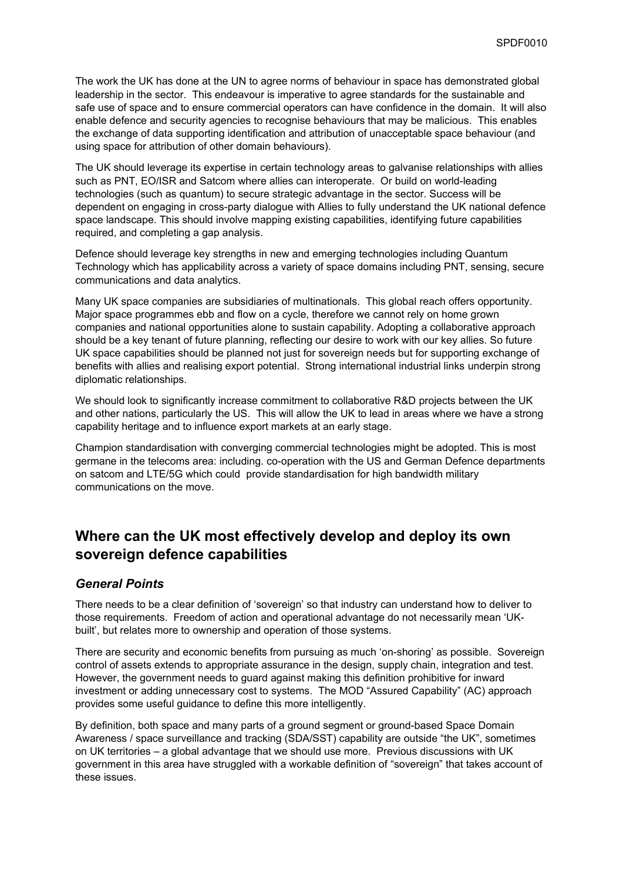The work the UK has done at the UN to agree norms of behaviour in space has demonstrated global leadership in the sector. This endeavour is imperative to agree standards for the sustainable and safe use of space and to ensure commercial operators can have confidence in the domain. It will also enable defence and security agencies to recognise behaviours that may be malicious. This enables the exchange of data supporting identification and attribution of unacceptable space behaviour (and using space for attribution of other domain behaviours).

The UK should leverage its expertise in certain technology areas to galvanise relationships with allies such as PNT, EO/ISR and Satcom where allies can interoperate. Or build on world-leading technologies (such as quantum) to secure strategic advantage in the sector. Success will be dependent on engaging in cross-party dialogue with Allies to fully understand the UK national defence space landscape. This should involve mapping existing capabilities, identifying future capabilities required, and completing a gap analysis.

Defence should leverage key strengths in new and emerging technologies including Quantum Technology which has applicability across a variety of space domains including PNT, sensing, secure communications and data analytics.

Many UK space companies are subsidiaries of multinationals. This global reach offers opportunity. Major space programmes ebb and flow on a cycle, therefore we cannot rely on home grown companies and national opportunities alone to sustain capability. Adopting a collaborative approach should be a key tenant of future planning, reflecting our desire to work with our key allies. So future UK space capabilities should be planned not just for sovereign needs but for supporting exchange of benefits with allies and realising export potential. Strong international industrial links underpin strong diplomatic relationships.

We should look to significantly increase commitment to collaborative R&D projects between the UK and other nations, particularly the US. This will allow the UK to lead in areas where we have a strong capability heritage and to influence export markets at an early stage.

Champion standardisation with converging commercial technologies might be adopted. This is most germane in the telecoms area: including. co-operation with the US and German Defence departments on satcom and LTE/5G which could provide standardisation for high bandwidth military communications on the move.

# **Where can the UK most effectively develop and deploy its own sovereign defence capabilities**

#### *General Points*

There needs to be a clear definition of 'sovereign' so that industry can understand how to deliver to those requirements. Freedom of action and operational advantage do not necessarily mean 'UKbuilt', but relates more to ownership and operation of those systems.

There are security and economic benefits from pursuing as much 'on-shoring' as possible. Sovereign control of assets extends to appropriate assurance in the design, supply chain, integration and test. However, the government needs to guard against making this definition prohibitive for inward investment or adding unnecessary cost to systems. The MOD "Assured Capability" (AC) approach provides some useful guidance to define this more intelligently.

By definition, both space and many parts of a ground segment or ground-based Space Domain Awareness / space surveillance and tracking (SDA/SST) capability are outside "the UK", sometimes on UK territories – a global advantage that we should use more. Previous discussions with UK government in this area have struggled with a workable definition of "sovereign" that takes account of these issues.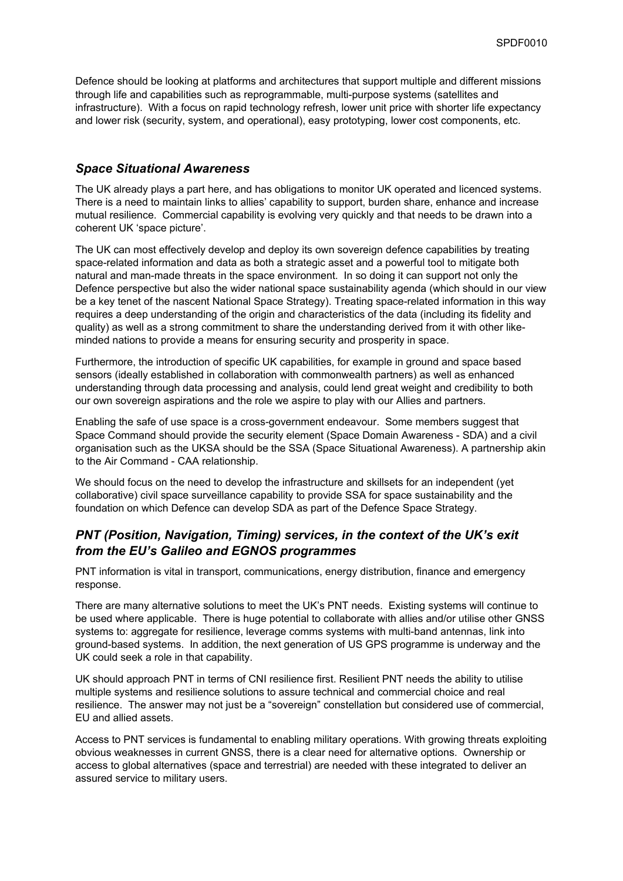Defence should be looking at platforms and architectures that support multiple and different missions through life and capabilities such as reprogrammable, multi-purpose systems (satellites and infrastructure). With a focus on rapid technology refresh, lower unit price with shorter life expectancy and lower risk (security, system, and operational), easy prototyping, lower cost components, etc.

### *Space Situational Awareness*

The UK already plays a part here, and has obligations to monitor UK operated and licenced systems. There is a need to maintain links to allies' capability to support, burden share, enhance and increase mutual resilience. Commercial capability is evolving very quickly and that needs to be drawn into a coherent UK 'space picture'.

The UK can most effectively develop and deploy its own sovereign defence capabilities by treating space-related information and data as both a strategic asset and a powerful tool to mitigate both natural and man-made threats in the space environment. In so doing it can support not only the Defence perspective but also the wider national space sustainability agenda (which should in our view be a key tenet of the nascent National Space Strategy). Treating space-related information in this way requires a deep understanding of the origin and characteristics of the data (including its fidelity and quality) as well as a strong commitment to share the understanding derived from it with other likeminded nations to provide a means for ensuring security and prosperity in space.

Furthermore, the introduction of specific UK capabilities, for example in ground and space based sensors (ideally established in collaboration with commonwealth partners) as well as enhanced understanding through data processing and analysis, could lend great weight and credibility to both our own sovereign aspirations and the role we aspire to play with our Allies and partners.

Enabling the safe of use space is a cross-government endeavour. Some members suggest that Space Command should provide the security element (Space Domain Awareness - SDA) and a civil organisation such as the UKSA should be the SSA (Space Situational Awareness). A partnership akin to the Air Command - CAA relationship.

We should focus on the need to develop the infrastructure and skillsets for an independent (yet collaborative) civil space surveillance capability to provide SSA for space sustainability and the foundation on which Defence can develop SDA as part of the Defence Space Strategy.

### *PNT (Position, Navigation, Timing) services, in the context of the UK's exit from the EU's Galileo and EGNOS programmes*

PNT information is vital in transport, communications, energy distribution, finance and emergency response.

There are many alternative solutions to meet the UK's PNT needs. Existing systems will continue to be used where applicable. There is huge potential to collaborate with allies and/or utilise other GNSS systems to: aggregate for resilience, leverage comms systems with multi-band antennas, link into ground-based systems. In addition, the next generation of US GPS programme is underway and the UK could seek a role in that capability.

UK should approach PNT in terms of CNI resilience first. Resilient PNT needs the ability to utilise multiple systems and resilience solutions to assure technical and commercial choice and real resilience. The answer may not just be a "sovereign" constellation but considered use of commercial, EU and allied assets.

Access to PNT services is fundamental to enabling military operations. With growing threats exploiting obvious weaknesses in current GNSS, there is a clear need for alternative options. Ownership or access to global alternatives (space and terrestrial) are needed with these integrated to deliver an assured service to military users.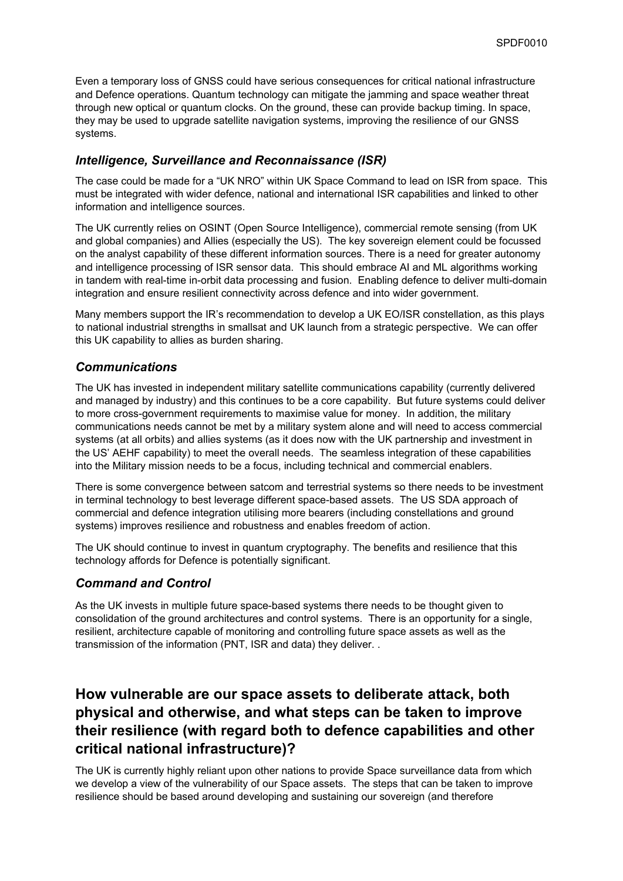Even a temporary loss of GNSS could have serious consequences for critical national infrastructure and Defence operations. Quantum technology can mitigate the jamming and space weather threat through new optical or quantum clocks. On the ground, these can provide backup timing. In space, they may be used to upgrade satellite navigation systems, improving the resilience of our GNSS systems.

### *Intelligence, Surveillance and Reconnaissance (ISR)*

The case could be made for a "UK NRO" within UK Space Command to lead on ISR from space. This must be integrated with wider defence, national and international ISR capabilities and linked to other information and intelligence sources.

The UK currently relies on OSINT (Open Source Intelligence), commercial remote sensing (from UK and global companies) and Allies (especially the US). The key sovereign element could be focussed on the analyst capability of these different information sources. There is a need for greater autonomy and intelligence processing of ISR sensor data. This should embrace AI and ML algorithms working in tandem with real-time in-orbit data processing and fusion. Enabling defence to deliver multi-domain integration and ensure resilient connectivity across defence and into wider government.

Many members support the IR's recommendation to develop a UK EO/ISR constellation, as this plays to national industrial strengths in smallsat and UK launch from a strategic perspective. We can offer this UK capability to allies as burden sharing.

#### *Communications*

The UK has invested in independent military satellite communications capability (currently delivered and managed by industry) and this continues to be a core capability. But future systems could deliver to more cross-government requirements to maximise value for money. In addition, the military communications needs cannot be met by a military system alone and will need to access commercial systems (at all orbits) and allies systems (as it does now with the UK partnership and investment in the US' AEHF capability) to meet the overall needs. The seamless integration of these capabilities into the Military mission needs to be a focus, including technical and commercial enablers.

There is some convergence between satcom and terrestrial systems so there needs to be investment in terminal technology to best leverage different space-based assets. The US SDA approach of commercial and defence integration utilising more bearers (including constellations and ground systems) improves resilience and robustness and enables freedom of action.

The UK should continue to invest in quantum cryptography. The benefits and resilience that this technology affords for Defence is potentially significant.

### *Command and Control*

As the UK invests in multiple future space-based systems there needs to be thought given to consolidation of the ground architectures and control systems. There is an opportunity for a single, resilient, architecture capable of monitoring and controlling future space assets as well as the transmission of the information (PNT, ISR and data) they deliver. .

# **How vulnerable are our space assets to deliberate attack, both physical and otherwise, and what steps can be taken to improve their resilience (with regard both to defence capabilities and other critical national infrastructure)?**

The UK is currently highly reliant upon other nations to provide Space surveillance data from which we develop a view of the vulnerability of our Space assets. The steps that can be taken to improve resilience should be based around developing and sustaining our sovereign (and therefore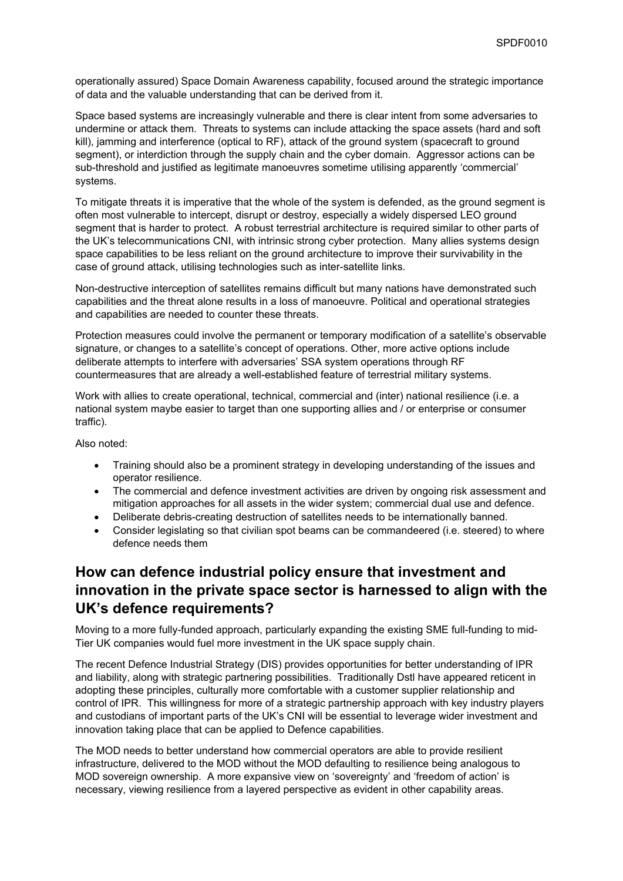operationally assured) Space Domain Awareness capability, focused around the strategic importance of data and the valuable understanding that can be derived from it.

Space based systems are increasingly vulnerable and there is clear intent from some adversaries to undermine or attack them. Threats to systems can include attacking the space assets (hard and soft kill), jamming and interference (optical to RF), attack of the ground system (spacecraft to ground segment), or interdiction through the supply chain and the cyber domain. Aggressor actions can be sub-threshold and justified as legitimate manoeuvres sometime utilising apparently 'commercial' systems.

To mitigate threats it is imperative that the whole of the system is defended, as the ground segment is often most vulnerable to intercept, disrupt or destroy, especially a widely dispersed LEO ground segment that is harder to protect. A robust terrestrial architecture is required similar to other parts of the UK's telecommunications CNI, with intrinsic strong cyber protection. Many allies systems design space capabilities to be less reliant on the ground architecture to improve their survivability in the case of ground attack, utilising technologies such as inter-satellite links.

Non-destructive interception of satellites remains difficult but many nations have demonstrated such capabilities and the threat alone results in a loss of manoeuvre. Political and operational strategies and capabilities are needed to counter these threats.

Protection measures could involve the permanent or temporary modification of a satellite's observable signature, or changes to a satellite's concept of operations. Other, more active options include deliberate attempts to interfere with adversaries' SSA system operations through RF countermeasures that are already a well-established feature of terrestrial military systems.

Work with allies to create operational, technical, commercial and (inter) national resilience (i.e. a national system maybe easier to target than one supporting allies and / or enterprise or consumer traffic).

Also noted:

- Training should also be a prominent strategy in developing understanding of the issues and operator resilience.
- The commercial and defence investment activities are driven by ongoing risk assessment and mitigation approaches for all assets in the wider system; commercial dual use and defence.
- Deliberate debris-creating destruction of satellites needs to be internationally banned.
- Consider legislating so that civilian spot beams can be commandeered (i.e. steered) to where defence needs them

# **How can defence industrial policy ensure that investment and innovation in the private space sector is harnessed to align with the UK's defence requirements?**

Moving to a more fully-funded approach, particularly expanding the existing SME full-funding to mid-Tier UK companies would fuel more investment in the UK space supply chain.

The recent Defence Industrial Strategy (DIS) provides opportunities for better understanding of IPR and liability, along with strategic partnering possibilities. Traditionally Dstl have appeared reticent in adopting these principles, culturally more comfortable with a customer supplier relationship and control of IPR. This willingness for more of a strategic partnership approach with key industry players and custodians of important parts of the UK's CNI will be essential to leverage wider investment and innovation taking place that can be applied to Defence capabilities.

The MOD needs to better understand how commercial operators are able to provide resilient infrastructure, delivered to the MOD without the MOD defaulting to resilience being analogous to MOD sovereign ownership. A more expansive view on 'sovereignty' and 'freedom of action' is necessary, viewing resilience from a layered perspective as evident in other capability areas.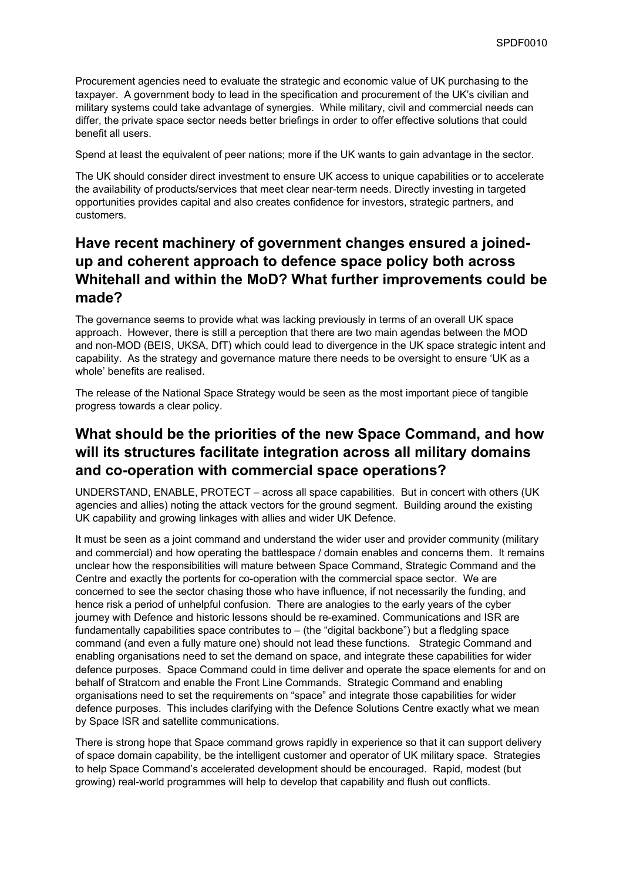Procurement agencies need to evaluate the strategic and economic value of UK purchasing to the taxpayer. A government body to lead in the specification and procurement of the UK's civilian and military systems could take advantage of synergies. While military, civil and commercial needs can differ, the private space sector needs better briefings in order to offer effective solutions that could benefit all users.

Spend at least the equivalent of peer nations; more if the UK wants to gain advantage in the sector.

The UK should consider direct investment to ensure UK access to unique capabilities or to accelerate the availability of products/services that meet clear near-term needs. Directly investing in targeted opportunities provides capital and also creates confidence for investors, strategic partners, and customers.

# **Have recent machinery of government changes ensured a joinedup and coherent approach to defence space policy both across Whitehall and within the MoD? What further improvements could be made?**

The governance seems to provide what was lacking previously in terms of an overall UK space approach. However, there is still a perception that there are two main agendas between the MOD and non-MOD (BEIS, UKSA, DfT) which could lead to divergence in the UK space strategic intent and capability. As the strategy and governance mature there needs to be oversight to ensure 'UK as a whole' benefits are realised.

The release of the National Space Strategy would be seen as the most important piece of tangible progress towards a clear policy.

# **What should be the priorities of the new Space Command, and how will its structures facilitate integration across all military domains and co-operation with commercial space operations?**

UNDERSTAND, ENABLE, PROTECT – across all space capabilities. But in concert with others (UK agencies and allies) noting the attack vectors for the ground segment. Building around the existing UK capability and growing linkages with allies and wider UK Defence.

It must be seen as a joint command and understand the wider user and provider community (military and commercial) and how operating the battlespace / domain enables and concerns them. It remains unclear how the responsibilities will mature between Space Command, Strategic Command and the Centre and exactly the portents for co-operation with the commercial space sector. We are concerned to see the sector chasing those who have influence, if not necessarily the funding, and hence risk a period of unhelpful confusion. There are analogies to the early years of the cyber journey with Defence and historic lessons should be re-examined. Communications and ISR are fundamentally capabilities space contributes to – (the "digital backbone") but a fledgling space command (and even a fully mature one) should not lead these functions. Strategic Command and enabling organisations need to set the demand on space, and integrate these capabilities for wider defence purposes. Space Command could in time deliver and operate the space elements for and on behalf of Stratcom and enable the Front Line Commands. Strategic Command and enabling organisations need to set the requirements on "space" and integrate those capabilities for wider defence purposes. This includes clarifying with the Defence Solutions Centre exactly what we mean by Space ISR and satellite communications.

There is strong hope that Space command grows rapidly in experience so that it can support delivery of space domain capability, be the intelligent customer and operator of UK military space. Strategies to help Space Command's accelerated development should be encouraged. Rapid, modest (but growing) real-world programmes will help to develop that capability and flush out conflicts.